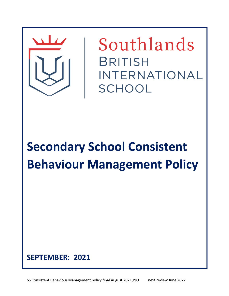

Southlands **BRITISH** INTERNATIONAL SCHOOL

**Secondary School Consistent Behaviour Management Policy**

# **SEPTEMBER: 2021**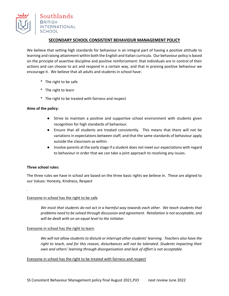

# **SECONDARY SCHOOL CONSISTENT BEHAVIOUR MANAGEMENT POLICY**

We believe that setting high standards for behaviour is an integral part of having a positive attitude to learning and raising attainment within both the English and Italian curricula. Our behaviour policy is based on the principle of assertive discipline and positive reinforcement: that individuals are in control of their actions and can choose to act and respond in a certain way, and that in praising positive behaviour we encourage it. We believe that all adults and students in school have:

- \* The right to be safe
- \* The right to learn
- \* The right to be treated with fairness and respect

## **Aims of the policy:**

- Strive to maintain a positive and supportive school environment with students given recognition for high standards of behaviour.
- Ensure that all students are treated consistently. This means that there will not be variations in expectations between staff, and that the same standards of behaviour apply outside the classroom as within.
- Involve parents at the early stage if a student does not meet our expectations with regard to behaviour in order that we can take a joint approach to resolving any issues.

## **Three school rules:**

.

The three rules we have in school are based on the three basic rights we believe in. These are aligned to our Values: Honesty, Kindness, Respect

## Everyone in school has the right to be safe

*We insist that students do not act in a harmful way towards each other. We teach students that problems need to be solved through discussion and agreement. Retaliation is not acceptable, and will be dealt with on an equal level to the initiator.*

## Everyone in school has the right to learn

*We will not allow students to disturb or interrupt other students' learning. Teachers also have the right to teach, and for this reason, disturbances will not be tolerated. Students impacting their own and others' learning through disorganisation and lack of effort is not acceptable.*

## Everyone in school has the right to be treated with fairness and respect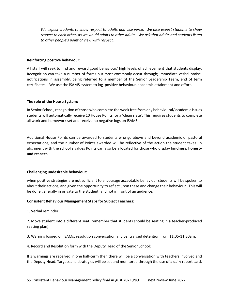*We expect students to show respect to adults and vice versa. We also expect students to show respect to each other, as we would adults to other adults. We ask that adults and students listen to other people's point of view with respect.* 

#### **Reinforcing positive behaviour:**

All staff will seek to find and reward good behaviour/ high levels of achievement that students display. Recognition can take a number of forms but most commonly occur through; immediate verbal praise, notifications in assembly, being referred to a member of the Senior Leadership Team, end of term certificates. We use the iSAMS system to log positive behaviour, academic attainment and effort.

#### **The role of the House System:**

In Senior School, recognition of those who complete the week free from any behavioural/ academic issues students will automatically receive 10 House Points for a 'clean slate'. This requires students to complete all work and homework set and receive no negative logs on iSAMS.

Additional House Points can be awarded to students who go above and beyond academic or pastoral expectations, and the number of Points awarded will be reflective of the action the student takes. In alignment with the school's values Points can also be allocated for those who display **kindness, honesty and respect**.

## **Challenging undesirable behaviour:**

when positive strategies are not sufficient to encourage acceptable behaviour students will be spoken to about their actions, and given the opportunity to reflect upon these and change their behaviour. This will be done generally in private to the student, and not in front of an audience.

## **Consistent Behaviour Management Steps for Subject Teachers:**

1. Verbal reminder

2. Move student into a different seat (remember that students should be seating in a teacher-produced seating plan)

3. Warning logged on iSAMs: resolution conversation and centralised detention from 11:05-11:30am.

4. Record and Resolution form with the Deputy Head of the Senior School:

If 3 warnings are received in one half-term then there will be a conversation with teachers involved and the Deputy Head. Targets and strategies will be set and monitored through the use of a daily report card.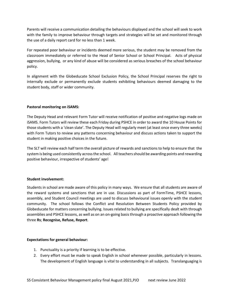Parents will receive a communication detailing the behaviours displayed and the school will seek to work with the family to improve behaviour through targets and strategies will be set and monitored through the use of a daily report card for no less than 1 week.

For repeated poor behaviour or incidents deemed more serious, the student may be removed from the classroom immediately or referred to the Head of Senior School or School Principal. Acts of physical aggression, bullying, or any kind of abuse will be considered as serious breaches of the school behaviour policy.

In alignment with the Globeducate School Exclusion Policy, the School Principal reserves the right to internally exclude or permanently exclude students exhibiting behaviours deemed damaging to the student body, staff or wider community.

# **Pastoral monitoring on iSAMS:**

The Deputy Head and relevant Form Tutor will receive notification of positive and negative logs made on iSAMS. Form Tutors will review these each Friday during PSHCE in order to award the 10 House Points for those students with a 'clean slate'. The Deputy Head will regularly meet (at least once every three weeks) with Form Tutors to review any patterns concerning behaviour and discuss actions taken to support the student in making positive choices in the future.

The SLT will review each half term the overall picture of rewards and sanctions to help to ensure that the system is being used consistently across the school. All teachers should be awarding points and rewarding positive behaviour, irrespective of students' age!

## **Student involvement:**

Students in school are made aware of this policy in many ways. We ensure that all students are aware of the reward systems and sanctions that are in use. Discussions as part of FormTime, PSHCE lessons, assembly, and Student Council meetings are used to discuss behavioural issues openly with the student community. The school follows the Conflict and Resolution Between Students Policy provided by Globeducate for matters concerning bullying. Issues related to bullying are specifically dealt with through assemblies and PSHCE lessons, as well as on an on-going basis through a proactive approach following the three **Rs**; **Recognise, Refuse, Report**.

## **Expectations for general behaviour:**

- 1. Punctuality is a priority if learning is to be effective.
- 2. Every effort must be made to speak English in school whenever possible, particularly in lessons. The development of English language is vital to understanding in all subjects. Translanguaging is